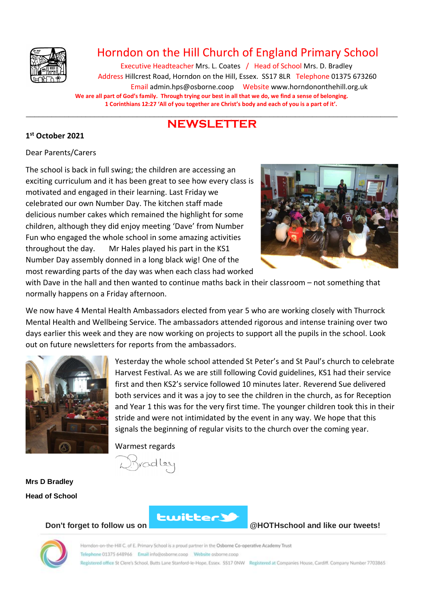

## Horndon on the Hill Church of England Primary School

Executive Headteacher Mrs. L. Coates / Head of School Mrs. D. Bradley Address Hillcrest Road, Horndon on the Hill, Essex. SS17 8LR Telephone 01375 673260 Email admin.hps@osborne.coop Websit[e www.horndononthehill.org.uk](http://www.horndononthehill.org.uk/) **We are all part of God's family. Through trying our best in all that we do, we find a sense of belonging. 1 Corinthians 12:27 'All of you together are Christ's body and each of you is a part of it'.**

#### \_\_\_\_\_\_\_\_\_\_\_\_\_\_\_\_\_\_\_\_\_\_\_\_\_\_\_\_\_\_\_\_\_\_\_\_\_\_\_\_\_\_\_\_\_\_\_\_\_\_\_\_\_\_\_\_\_\_\_\_\_\_\_\_\_\_\_\_\_\_\_\_\_\_\_\_\_\_\_\_\_\_\_\_\_\_\_ **NEWSLETTER**

#### **1 st October 2021**

#### Dear Parents/Carers

The school is back in full swing; the children are accessing an exciting curriculum and it has been great to see how every class is motivated and engaged in their learning. Last Friday we celebrated our own Number Day. The kitchen staff made delicious number cakes which remained the highlight for some children, although they did enjoy meeting 'Dave' from Number Fun who engaged the whole school in some amazing activities throughout the day. Mr Hales played his part in the KS1 Number Day assembly donned in a long black wig! One of the most rewarding parts of the day was when each class had worked



with Dave in the hall and then wanted to continue maths back in their classroom – not something that normally happens on a Friday afternoon.

We now have 4 Mental Health Ambassadors elected from year 5 who are working closely with Thurrock Mental Health and Wellbeing Service. The ambassadors attended rigorous and intense training over two days earlier this week and they are now working on projects to support all the pupils in the school. Look out on future newsletters for reports from the ambassadors.



Yesterday the whole school attended St Peter's and St Paul's church to celebrate Harvest Festival. As we are still following Covid guidelines, KS1 had their service first and then KS2's service followed 10 minutes later. Reverend Sue delivered both services and it was a joy to see the children in the church, as for Reception and Year 1 this was for the very first time. The younger children took this in their stride and were not intimidated by the event in any way. We hope that this signals the beginning of regular visits to the church over the coming year.

Warmest regards

**Mrs D Bradley Head of School**



**Don't forget to follow us on @HOTHschool and like our tweets!**

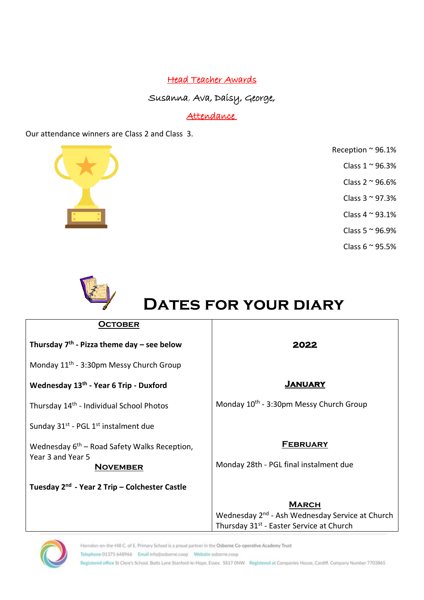### Head Teacher Awards

Susanna, Ava, Daisy, George,

### Attendance

Our attendance winners are Class 2 and Class 3.



- Reception ~ 96.1%
	- Class  $1 \approx 96.3\%$
	- Class  $2 \approx 96.6\%$
	- Class  $3 \approx 97.3\%$
	- Class  $4 \sim 93.1\%$
	- Class 5 ~ 96.9%
	- Class  $6 \approx 95.5\%$



# **DATES FOR YOUR DIARY**

| Thursday $7th$ - Pizza theme day – see below                 | 2022                                                        |
|--------------------------------------------------------------|-------------------------------------------------------------|
| Monday 11 <sup>th</sup> - 3:30pm Messy Church Group          |                                                             |
| Wednesday 13th - Year 6 Trip - Duxford                       | <b>JANUARY</b>                                              |
| Thursday 14 <sup>th</sup> - Individual School Photos         | Monday 10 <sup>th</sup> - 3:30pm Messy Church Group         |
| Sunday 31 <sup>st</sup> - PGL 1 <sup>st</sup> instalment due |                                                             |
| Wednesday $6th$ – Road Safety Walks Reception,               | <b>FEBRUARY</b>                                             |
| Year 3 and Year 5<br><b>NOVEMBER</b>                         | Monday 28th - PGL final instalment due                      |
| Tuesday 2 <sup>nd</sup> - Year 2 Trip – Colchester Castle    |                                                             |
|                                                              | <b>MARCH</b>                                                |
|                                                              | Wednesday 2 <sup>nd</sup> - Ash Wednesday Service at Church |



Horndon-on-the-Hill C. of E. Primary School is a proud partner in the Osborne Co-operative Academy Trust Telephone 01375 648966 Email info@osborne.coop Website osborne.coop Registered office St Clere's School, Butts Lane Stanford-le-Hope, Essex. SS17 ONW Registered at Companies House, Cardiff. Company Number 7703865

Thursday 31<sup>st</sup> - Easter Service at Church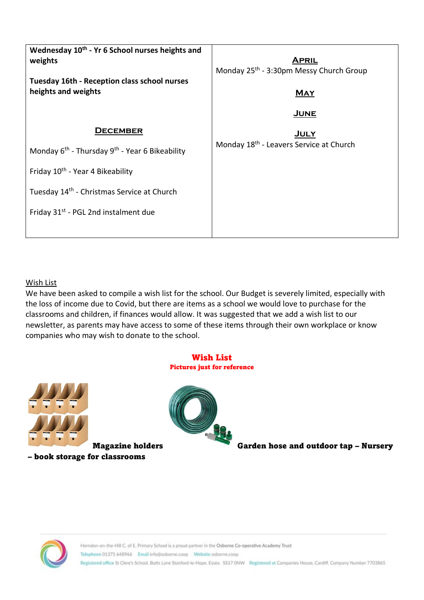| Wednesday 10 <sup>th</sup> - Yr 6 School nurses heights and<br>weights | <b>APRIL</b><br>Monday 25 <sup>th</sup> - 3:30pm Messy Church Group |
|------------------------------------------------------------------------|---------------------------------------------------------------------|
| Tuesday 16th - Reception class school nurses<br>heights and weights    | <b>MAY</b>                                                          |
|                                                                        | <u>JUNE</u>                                                         |
| <b>DECEMBER</b>                                                        | <b>JULY</b>                                                         |
| Monday 6 <sup>th</sup> - Thursday 9 <sup>th</sup> - Year 6 Bikeability | Monday 18 <sup>th</sup> - Leavers Service at Church                 |
| Friday 10 <sup>th</sup> - Year 4 Bikeability                           |                                                                     |
| Tuesday 14 <sup>th</sup> - Christmas Service at Church                 |                                                                     |
| Friday 31 <sup>st</sup> - PGL 2nd instalment due                       |                                                                     |
|                                                                        |                                                                     |

#### Wish List

We have been asked to compile a wish list for the school. Our Budget is severely limited, especially with the loss of income due to Covid, but there are items as a school we would love to purchase for the classrooms and children, if finances would allow. It was suggested that we add a wish list to our newsletter, as parents may have access to some of these items through their own workplace or know companies who may wish to donate to the school.

#### Wish List Pictures just for reference



– book storage for classrooms



Magazine holders Garden hose and outdoor tap – Nursery

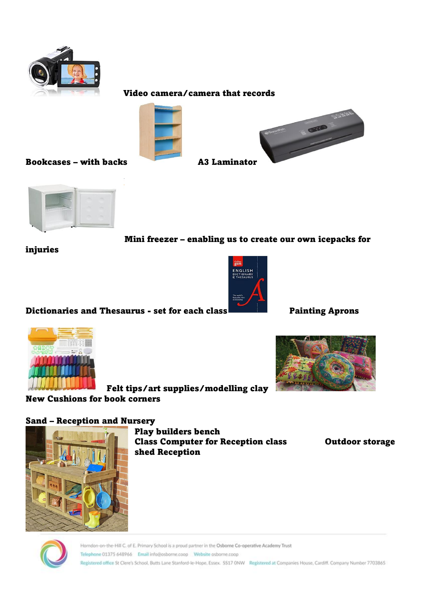

#### Video camera/camera that records



Bookcases – with backs A3 Laminator





Mini freezer – enabling us to create our own icepacks for

injuries



Dictionaries and Thesaurus - set for each class Painting Aprons





Felt tips/art supplies/modelling clay

New Cushions for book corners



Play builders bench Class Computer for Reception class Outdoor storage shed Reception

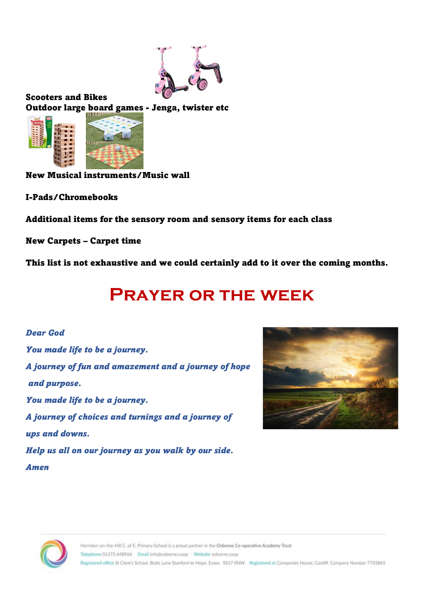

Scooters and Bikes Outdoor large board games - Jenga, twister etc



New Musical instruments/Music wall

I-Pads/Chromebooks

Additional items for the sensory room and sensory items for each class

New Carpets – Carpet time

This list is not exhaustive and we could certainly add to it over the coming months.

# **Prayer or the week**

## *Dear God You made life to be a journey. A journey of fun and amazement and a journey of hope and purpose. You made life to be a journey. A journey of choices and turnings and a journey of ups and downs. Help us all on our journey as you walk by our side. Amen*



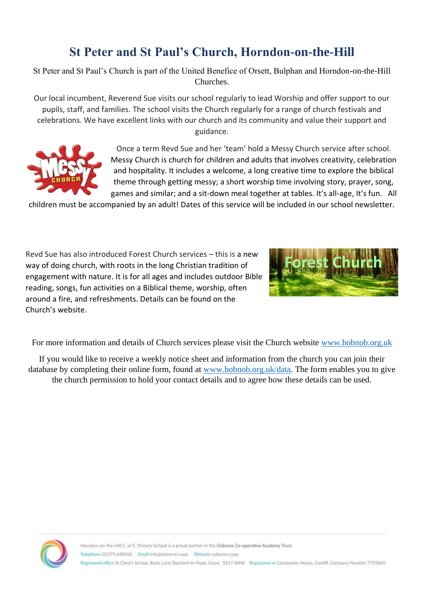### **St Peter and St Paul's Church, Horndon-on-the-Hill**

St Peter and St Paul's Church is part of the United Benefice of Orsett, Bulphan and Horndon-on-the-Hill Churches.

Our local incumbent, Reverend Sue visits our school regularly to lead Worship and offer support to our pupils, staff, and families. The school visits the Church regularly for a range of church festivals and celebrations. We have excellent links with our church and its community and value their support and guidance.



Once a term Revd Sue and her 'team' hold a Messy Church service after school. Messy Church is church for children and adults that involves creativity, celebration and hospitality. It includes a welcome, a long creative time to explore the biblical theme through getting messy; a short worship time involving story, prayer, song, games and similar; and a sit-down meal together at tables. It's all-age, It's fun. All

children must be accompanied by an adult! Dates of this service will be included in our school newsletter.

Revd Sue has also introduced Forest Church services – this is a new way of doing church, with roots in the long Christian tradition of engagement with nature. It is for all ages and includes outdoor Bible reading, songs, fun activities on a Biblical theme, worship, often around a fire, and refreshments. Details can be found on the Church's website.



For more information and details of Church services please visit the Church website www.hobnob.org.uk

If you would like to receive a weekly notice sheet and information from the church you can join their database by completing their online form, found at www.hobnob.org.uk/data. The form enables you to give the church permission to hold your contact details and to agree how these details can be used.

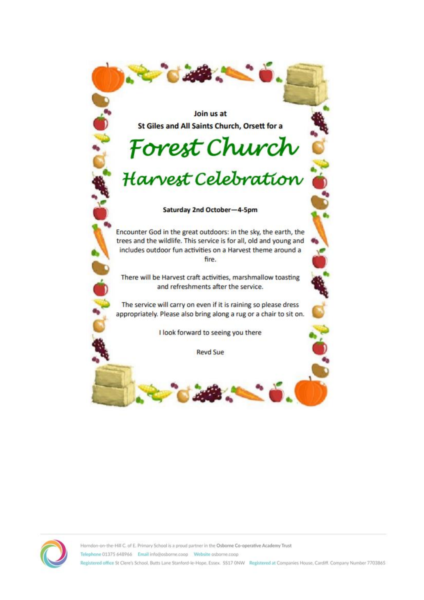Join us at St Giles and All Saints Church, Orsett for a

# Forest Church

# Harvest Celebration

#### Saturday 2nd October-4-5pm

Encounter God in the great outdoors: in the sky, the earth, the trees and the wildlife. This service is for all, old and young and includes outdoor fun activities on a Harvest theme around a fire.

There will be Harvest craft activities, marshmallow toasting and refreshments after the service.

The service will carry on even if it is raining so please dress appropriately. Please also bring along a rug or a chair to sit on.

I look forward to seeing you there

**Revd Sue**